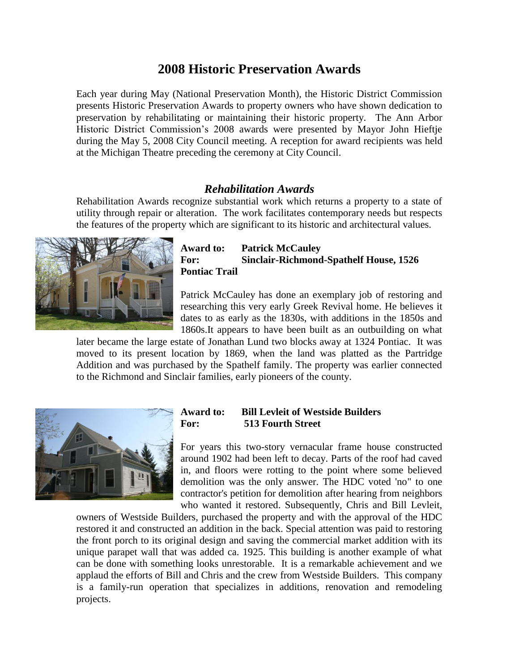# **2008 Historic Preservation Awards**

Each year during May (National Preservation Month), the Historic District Commission presents Historic Preservation Awards to property owners who have shown dedication to preservation by rehabilitating or maintaining their historic property. The Ann Arbor Historic District Commission's 2008 awards were presented by Mayor John Hieftje during the May 5, 2008 City Council meeting. A reception for award recipients was held at the Michigan Theatre preceding the ceremony at City Council.

## *Rehabilitation Awards*

Rehabilitation Awards recognize substantial work which returns a property to a state of utility through repair or alteration. The work facilitates contemporary needs but respects the features of the property which are significant to its historic and architectural values.



## **Award to: Patrick McCauley For: Sinclair-Richmond-Spathelf House, 1526 Pontiac Trail**

Patrick McCauley has done an exemplary job of restoring and researching this very early Greek Revival home. He believes it dates to as early as the 1830s, with additions in the 1850s and 1860s.It appears to have been built as an outbuilding on what

later became the large estate of Jonathan Lund two blocks away at 1324 Pontiac. It was moved to its present location by 1869, when the land was platted as the Partridge Addition and was purchased by the Spathelf family. The property was earlier connected to the Richmond and Sinclair families, early pioneers of the county.



## **Award to: Bill Levleit of Westside Builders For: 513 Fourth Street**

For years this two-story vernacular frame house constructed around 1902 had been left to decay. Parts of the roof had caved in, and floors were rotting to the point where some believed demolition was the only answer. The HDC voted 'no" to one contractor's petition for demolition after hearing from neighbors who wanted it restored. Subsequently, Chris and Bill Levleit,

owners of Westside Builders, purchased the property and with the approval of the HDC restored it and constructed an addition in the back. Special attention was paid to restoring the front porch to its original design and saving the commercial market addition with its unique parapet wall that was added ca. 1925. This building is another example of what can be done with something looks unrestorable. It is a remarkable achievement and we applaud the efforts of Bill and Chris and the crew from Westside Builders. This company is a family-run operation that specializes in additions, renovation and remodeling projects.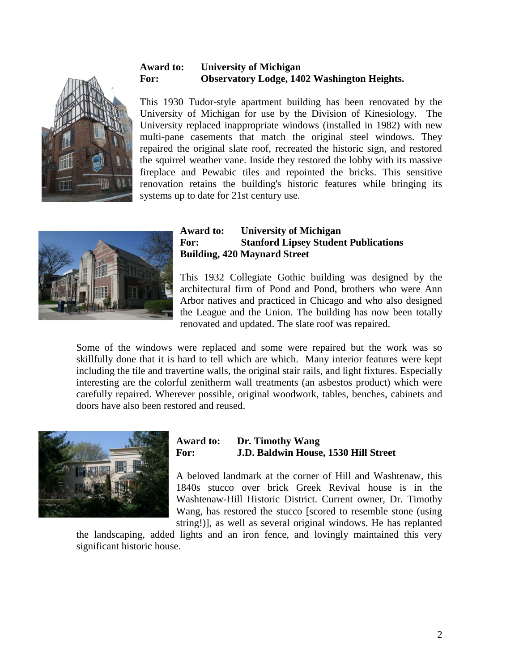

## **Award to: University of Michigan For: Observatory Lodge, 1402 Washington Heights.**

This 1930 Tudor-style apartment building has been renovated by the University of Michigan for use by the Division of Kinesiology. The University replaced inappropriate windows (installed in 1982) with new multi-pane casements that match the original steel windows. They repaired the original slate roof, recreated the historic sign, and restored the squirrel weather vane. Inside they restored the lobby with its massive fireplace and Pewabic tiles and repointed the bricks. This sensitive renovation retains the building's historic features while bringing its systems up to date for 21st century use.



## **Award to: University of Michigan For: Stanford Lipsey Student Publications Building, 420 Maynard Street**

This 1932 Collegiate Gothic building was designed by the architectural firm of Pond and Pond, brothers who were Ann Arbor natives and practiced in Chicago and who also designed the League and the Union. The building has now been totally renovated and updated. The slate roof was repaired.

Some of the windows were replaced and some were repaired but the work was so skillfully done that it is hard to tell which are which. Many interior features were kept including the tile and travertine walls, the original stair rails, and light fixtures. Especially interesting are the colorful zenitherm wall treatments (an asbestos product) which were carefully repaired. Wherever possible, original woodwork, tables, benches, cabinets and doors have also been restored and reused.



## **Award to: Dr. Timothy Wang For: J.D. Baldwin House, 1530 Hill Street**

A beloved landmark at the corner of Hill and Washtenaw, this 1840s stucco over brick Greek Revival house is in the Washtenaw-Hill Historic District. Current owner, Dr. Timothy Wang, has restored the stucco [scored to resemble stone (using string!)], as well as several original windows. He has replanted

the landscaping, added lights and an iron fence, and lovingly maintained this very significant historic house.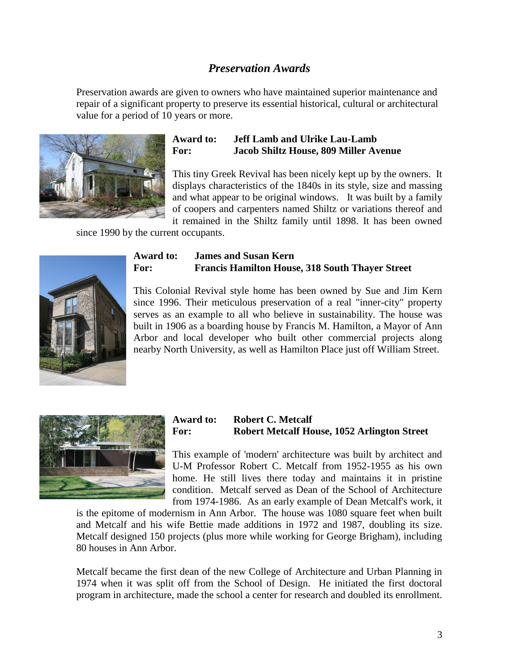## *Preservation Awards*

Preservation awards are given to owners who have maintained superior maintenance and repair of a significant property to preserve its essential historical, cultural or architectural value for a period of 10 years or more.



## **Award to: Jeff Lamb and Ulrike Lau-Lamb For: Jacob Shiltz House, 809 Miller Avenue**

This tiny Greek Revival has been nicely kept up by the owners. It displays characteristics of the 1840s in its style, size and massing and what appear to be original windows. It was built by a family of coopers and carpenters named Shiltz or variations thereof and it remained in the Shiltz family until 1898. It has been owned

since 1990 by the current occupants.



## **Award to: James and Susan Kern For: Francis Hamilton House, 318 South Thayer Street**

This Colonial Revival style home has been owned by Sue and Jim Kern since 1996. Their meticulous preservation of a real "inner-city" property serves as an example to all who believe in sustainability. The house was built in 1906 as a boarding house by Francis M. Hamilton, a Mayor of Ann Arbor and local developer who built other commercial projects along nearby North University, as well as Hamilton Place just off William Street.



## **Award to: Robert C. Metcalf For: Robert Metcalf House, 1052 Arlington Street**

This example of 'modern' architecture was built by architect and U-M Professor Robert C. Metcalf from 1952-1955 as his own home. He still lives there today and maintains it in pristine condition. Metcalf served as Dean of the School of Architecture from 1974-1986. As an early example of Dean Metcalf's work, it

is the epitome of modernism in Ann Arbor. The house was 1080 square feet when built and Metcalf and his wife Bettie made additions in 1972 and 1987, doubling its size. Metcalf designed 150 projects (plus more while working for George Brigham), including 80 houses in Ann Arbor.

Metcalf became the first dean of the new College of Architecture and Urban Planning in 1974 when it was split off from the School of Design. He initiated the first doctoral program in architecture, made the school a center for research and doubled its enrollment.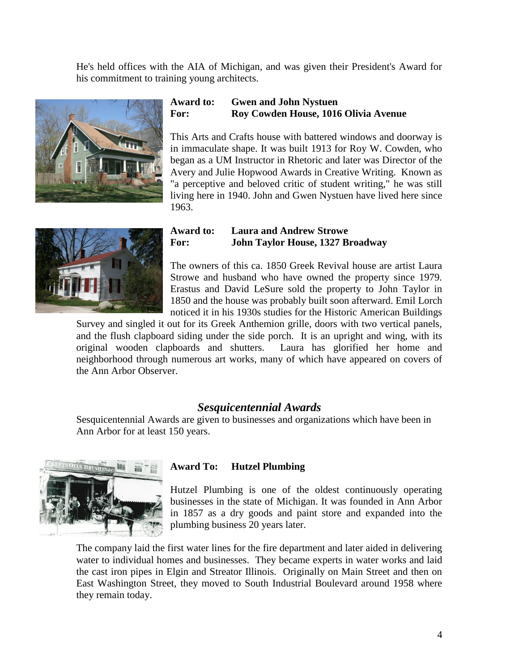He's held offices with the AIA of Michigan, and was given their President's Award for his commitment to training young architects.



## **Award to: Gwen and John Nystuen For: Roy Cowden House, 1016 Olivia Avenue**

This Arts and Crafts house with battered windows and doorway is in immaculate shape. It was built 1913 for Roy W. Cowden, who began as a UM Instructor in Rhetoric and later was Director of the Avery and Julie Hopwood Awards in Creative Writing. Known as "a perceptive and beloved critic of student writing," he was still living here in 1940. John and Gwen Nystuen have lived here since 1963.



### **Award to: Laura and Andrew Strowe For: John Taylor House, 1327 Broadway**

The owners of this ca. 1850 Greek Revival house are artist Laura Strowe and husband who have owned the property since 1979. Erastus and David LeSure sold the property to John Taylor in 1850 and the house was probably built soon afterward. Emil Lorch noticed it in his 1930s studies for the Historic American Buildings

Survey and singled it out for its Greek Anthemion grille, doors with two vertical panels, and the flush clapboard siding under the side porch. It is an upright and wing, with its original wooden clapboards and shutters. Laura has glorified her home and neighborhood through numerous art works, many of which have appeared on covers of the Ann Arbor Observer.

## *Sesquicentennial Awards*

Sesquicentennial Awards are given to businesses and organizations which have been in Ann Arbor for at least 150 years.



## **Award To: Hutzel Plumbing**

Hutzel Plumbing is one of the oldest continuously operating businesses in the state of Michigan. It was founded in Ann Arbor in 1857 as a dry goods and paint store and expanded into the plumbing business 20 years later.

The company laid the first water lines for the fire department and later aided in delivering water to individual homes and businesses. They became experts in water works and laid the cast iron pipes in Elgin and Streator Illinois. Originally on Main Street and then on East Washington Street, they moved to South Industrial Boulevard around 1958 where they remain today.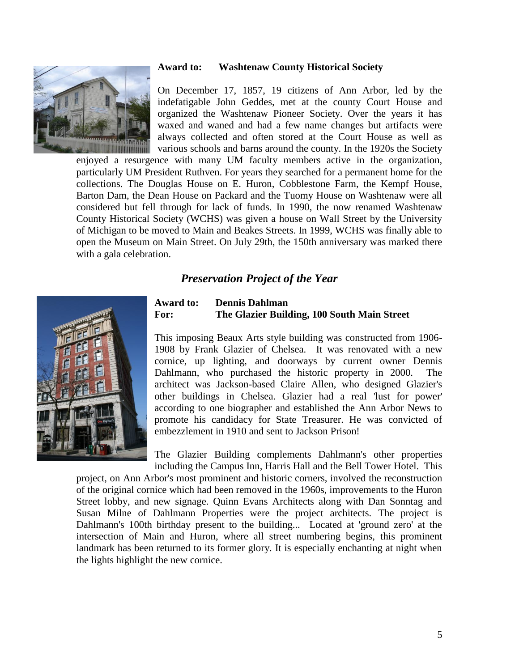#### **Award to: Washtenaw County Historical Society**



On December 17, 1857, 19 citizens of Ann Arbor, led by the indefatigable John Geddes, met at the county Court House and organized the Washtenaw Pioneer Society. Over the years it has waxed and waned and had a few name changes but artifacts were always collected and often stored at the Court House as well as various schools and barns around the county. In the 1920s the Society

enjoyed a resurgence with many UM faculty members active in the organization, particularly UM President Ruthven. For years they searched for a permanent home for the collections. The Douglas House on E. Huron, Cobblestone Farm, the Kempf House, Barton Dam, the Dean House on Packard and the Tuomy House on Washtenaw were all considered but fell through for lack of funds. In 1990, the now renamed Washtenaw County Historical Society (WCHS) was given a house on Wall Street by the University of Michigan to be moved to Main and Beakes Streets. In 1999, WCHS was finally able to open the Museum on Main Street. On July 29th, the 150th anniversary was marked there with a gala celebration.

## *Preservation Project of the Year*



## **Award to: Dennis Dahlman For: The Glazier Building, 100 South Main Street**

This imposing Beaux Arts style building was constructed from 1906- 1908 by Frank Glazier of Chelsea. It was renovated with a new cornice, up lighting, and doorways by current owner Dennis Dahlmann, who purchased the historic property in 2000. The architect was Jackson-based Claire Allen, who designed Glazier's other buildings in Chelsea. Glazier had a real 'lust for power' according to one biographer and established the Ann Arbor News to promote his candidacy for State Treasurer. He was convicted of embezzlement in 1910 and sent to Jackson Prison!

The Glazier Building complements Dahlmann's other properties including the Campus Inn, Harris Hall and the Bell Tower Hotel. This

project, on Ann Arbor's most prominent and historic corners, involved the reconstruction of the original cornice which had been removed in the 1960s, improvements to the Huron Street lobby, and new signage. Quinn Evans Architects along with Dan Sonntag and Susan Milne of Dahlmann Properties were the project architects. The project is Dahlmann's 100th birthday present to the building... Located at 'ground zero' at the intersection of Main and Huron, where all street numbering begins, this prominent landmark has been returned to its former glory. It is especially enchanting at night when the lights highlight the new cornice.